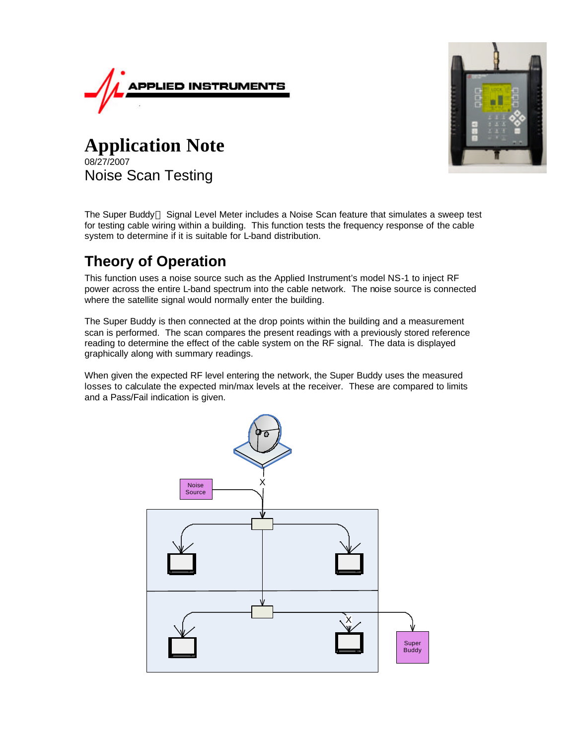



**Application Note** 08/27/2007 Noise Scan Testing

The Super Buddy<sup>™</sup> Signal Level Meter includes a Noise Scan feature that simulates a sweep test for testing cable wiring within a building. This function tests the frequency response of the cable system to determine if it is suitable for L-band distribution.

## **Theory of Operation**

This function uses a noise source such as the Applied Instrument's model NS-1 to inject RF power across the entire L-band spectrum into the cable network. The noise source is connected where the satellite signal would normally enter the building.

The Super Buddy is then connected at the drop points within the building and a measurement scan is performed. The scan compares the present readings with a previously stored reference reading to determine the effect of the cable system on the RF signal. The data is displayed graphically along with summary readings.

When given the expected RF level entering the network, the Super Buddy uses the measured losses to calculate the expected min/max levels at the receiver. These are compared to limits and a Pass/Fail indication is given.

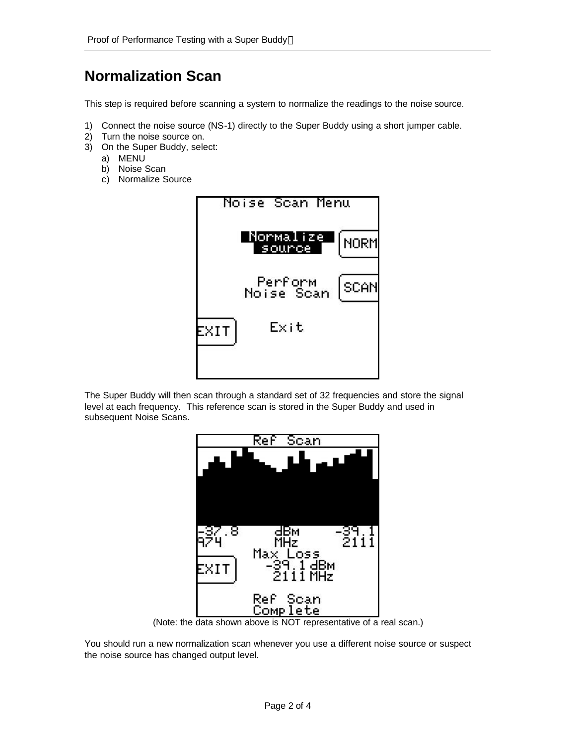## **Normalization Scan**

This step is required before scanning a system to normalize the readings to the noise source.

- 1) Connect the noise source (NS-1) directly to the Super Buddy using a short jumper cable.
- 2) Turn the noise source on.
- 3) On the Super Buddy, select:
	- a) MENU
	- b) Noise Scan
	- c) Normalize Source



The Super Buddy will then scan through a standard set of 32 frequencies and store the signal level at each frequency. This reference scan is stored in the Super Buddy and used in subsequent Noise Scans.



(Note: the data shown above is NOT representative of a real scan.)

You should run a new normalization scan whenever you use a different noise source or suspect the noise source has changed output level.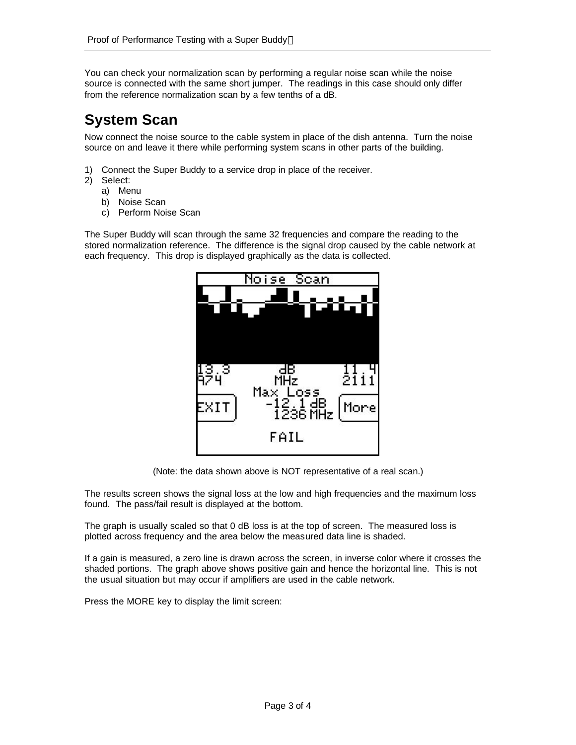You can check your normalization scan by performing a regular noise scan while the noise source is connected with the same short jumper. The readings in this case should only differ from the reference normalization scan by a few tenths of a dB.

## **System Scan**

Now connect the noise source to the cable system in place of the dish antenna. Turn the noise source on and leave it there while performing system scans in other parts of the building.

- 1) Connect the Super Buddy to a service drop in place of the receiver.
- 2) Select:
	- a) Menu
	- b) Noise Scan
	- c) Perform Noise Scan

The Super Buddy will scan through the same 32 frequencies and compare the reading to the stored normalization reference. The difference is the signal drop caused by the cable network at each frequency. This drop is displayed graphically as the data is collected.



(Note: the data shown above is NOT representative of a real scan.)

The results screen shows the signal loss at the low and high frequencies and the maximum loss found. The pass/fail result is displayed at the bottom.

The graph is usually scaled so that 0 dB loss is at the top of screen. The measured loss is plotted across frequency and the area below the measured data line is shaded.

If a gain is measured, a zero line is drawn across the screen, in inverse color where it crosses the shaded portions. The graph above shows positive gain and hence the horizontal line. This is not the usual situation but may occur if amplifiers are used in the cable network.

Press the MORE key to display the limit screen: